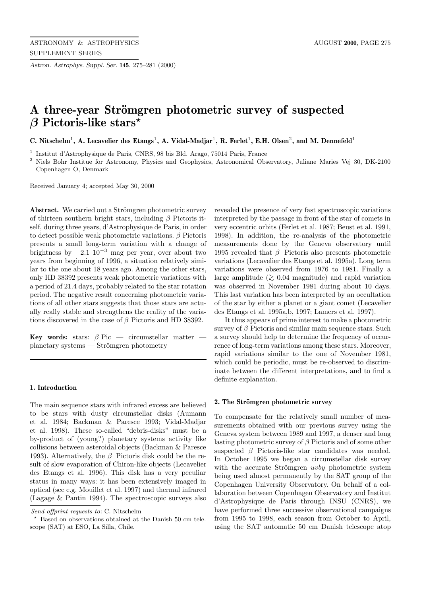*Astron. Astrophys. Suppl. Ser.* **145**, 275–281 (2000)

# A three-year Strömgren photometric survey of suspected *β* **Pictoris-like stars***?*

**C. Nitschelm**<sup>1</sup>**, A. Lecavelier des Etangs**<sup>1</sup>**, A. Vidal-Madjar**<sup>1</sup>**, R. Ferlet**<sup>1</sup>**, E.H. Olsen**<sup>2</sup>**, and M. Dennefeld**<sup>1</sup>

<sup>1</sup> Institut d'Astrophysique de Paris, CNRS, 98 bis Bld. Arago, 75014 Paris, France

<sup>2</sup> Niels Bohr Institue for Astronomy, Physics and Geophysics, Astronomical Observatory, Juliane Maries Vej 30, DK-2100 Copenhagen O, Denmark

Received January 4; accepted May 30, 2000

**Abstract.** We carried out a Strömgren photometric survey of thirteen southern bright stars, including  $\beta$  Pictoris itself, during three years, d'Astrophysique de Paris, in order to detect possible weak photometric variations.  $\beta$  Pictoris presents a small long-term variation with a change of brightness by  $-2.1 \, 10^{-3}$  mag per year, over about two years from beginning of 1996, a situation relatively similar to the one about 18 years ago. Among the other stars, only HD 38392 presents weak photometric variations with a period of 21.4 days, probably related to the star rotation period. The negative result concerning photometric variations of all other stars suggests that those stars are actually really stable and strengthens the reality of the variations discovered in the case of  $\beta$  Pictoris and HD 38392.

**Key words:** stars:  $\beta$  Pic — circumstellar matter  $planetary$  systems — Strömgren photometry

## **1. Introduction**

The main sequence stars with infrared excess are believed to be stars with dusty circumstellar disks (Aumann et al. 1984; Backman & Paresce 1993; Vidal-Madjar et al. 1998). These so-called "debris-disks" must be a by-product of (young?) planetary systems activity like collisions between asteroidal objects (Backman & Paresce 1993). Alternatively, the  $\beta$  Pictoris disk could be the result of slow evaporation of Chiron-like objects (Lecavelier des Etangs et al. 1996). This disk has a very peculiar status in many ways: it has been extensively imaged in optical (see e.g. Mouillet et al. 1997) and thermal infrared (Lagage & Pantin 1994). The spectroscopic surveys also

revealed the presence of very fast spectroscopic variations interpreted by the passage in front of the star of comets in very eccentric orbits (Ferlet et al. 1987; Beust et al. 1991, 1998). In addition, the re-analysis of the photometric measurements done by the Geneva observatory until 1995 revealed that  $\beta$  Pictoris also presents photometric variations (Lecavelier des Etangs et al. 1995a). Long term variations were observed from 1976 to 1981. Finally a large amplitude ( $≥$  0.04 magnitude) and rapid variation was observed in November 1981 during about 10 days. This last variation has been interpreted by an occultation of the star by either a planet or a giant comet (Lecavelier des Etangs et al. 1995a,b, 1997; Lamers et al. 1997).

It thus appears of prime interest to make a photometric survey of  $\beta$  Pictoris and similar main sequence stars. Such a survey should help to determine the frequency of occurrence of long-term variations among these stars. Moreover, rapid variations similar to the one of November 1981, which could be periodic, must be re-observed to discriminate between the different interpretations, and to find a definite explanation.

# **2. The Str¨omgren photometric survey**

To compensate for the relatively small number of measurements obtained with our previous survey using the Geneva system between 1989 and 1997, a denser and long lasting photometric survey of  $\beta$  Pictoris and of some other suspected  $\beta$  Pictoris-like star candidates was needed. In October 1995 we began a circumstellar disk survey with the accurate Strömgren uvby photometric system being used almost permanently by the SAT group of the Copenhagen University Observatory. On behalf of a collaboration between Copenhagen Observatory and Institut d'Astrophysique de Paris through INSU (CNRS), we have performed three successive observational campaigns from 1995 to 1998, each season from October to April, using the SAT automatic 50 cm Danish telescope atop

Send offprint requests to: C. Nitschelm

<sup>?</sup> Based on observations obtained at the Danish 50 cm telescope (SAT) at ESO, La Silla, Chile.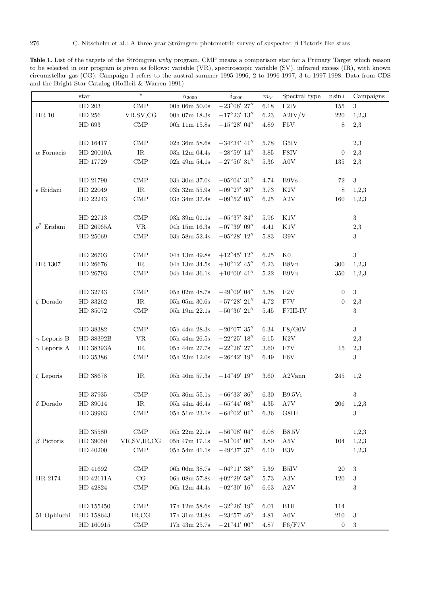276 C. Nitschelm et al.: A three-year Strömgren photometric survey of suspected  $\beta$  Pictoris-like stars

Table 1. List of the targets of the Strömgren uvby program. CMP means a comparison star for a Primary Target which reason to be selected in our program is given as follows: variable (VR), spectroscopic variable (SV), infrared excess (IR), with known circumstellar gas (CG). Campaign 1 refers to the austral summer 1995-1996, 2 to 1996-1997, 3 to 1997-1998. Data from CDS and the Bright Star Catalog (Hoffleit & Warren 1991)

|                    | $_{\rm star}$       | $\ast$                            | $\alpha_{2000}$                                | $\delta_{2000}$                              | $m_V$    | Spectral type          | $v \sin i$       | Campaigns  |
|--------------------|---------------------|-----------------------------------|------------------------------------------------|----------------------------------------------|----------|------------------------|------------------|------------|
|                    | HD 203              | $\ensuremath{\mathrm{CMP}}$       | 00h 06m $50.0s$                                | $-23^{\circ}06^{\prime}$ $27^{\prime\prime}$ | 6.18     | F2IV                   | $155\,$          | 3          |
| $\rm HR$ 10        | ${\rm HD}$ 256      | VR, SV, CG                        | 00h $07\mathrm{m}$ $18.3\mathrm{s}$            | $-17^{\circ}23'$ 13"                         | 6.23     | A2IV/V                 | $220\,$          | 1,2,3      |
|                    | HD 693              | $\text{CMP}$                      | 00h 11m 15.8s                                  | $-15^{\circ}28^{\prime}$ 04"                 | 4.89     | F <sub>5</sub> V       | 8                | 2,3        |
|                    |                     |                                   |                                                |                                              |          |                        |                  |            |
|                    | HD 16417            | $\ensuremath{\mathrm{CMP}}$       | 02h 36m $58.6s$                                | $-34^{\circ}34^{\prime}$ $41^{\prime\prime}$ | 5.78     | $\rm G5IV$             |                  | 2,3        |
| $\alpha$ Fornacis  | HD 20010A           | IR                                | 03h 12m 04.4s                                  | $-28^{\circ}59^{\prime}$ $14^{\prime\prime}$ | 3.85     | ${\rm F8IV}$           | $\boldsymbol{0}$ | 2,3        |
|                    | HD 17729            | $\ensuremath{\mathrm{CMP}}$       | 02h 49m 54.1s                                  | $-27^{\circ}56^{\prime}$ $31^{\prime\prime}$ | 5.36     | $\rm{A0V}$             | 135              | 2,3        |
|                    |                     |                                   |                                                |                                              |          |                        |                  |            |
|                    | HD 21790            | $\text{CMP}$                      | 03h $30\mathrm{m}$ $37.0\mathrm{s}$            | $-05^{\circ}04'$ 31"                         | 4.74     | $\rm B9Vs$             | 72               | $\sqrt{3}$ |
| $\epsilon$ Eridani | HD 22049            | $\ensuremath{\mathsf{IR}}\xspace$ | 03h 32m $55.9s$                                | $-09^{\circ}27'$ 30"                         | 3.73     | $\rm K2V$              | 8                | 1,2,3      |
|                    | HD 22243            | $\ensuremath{\mathrm{CMP}}$       | 03h 34m 37.4s                                  | $-09^{\circ}52^{\prime}$ $05^{\prime\prime}$ | $6.25\,$ | $\rm A2V$              | 160              | 1,2,3      |
|                    |                     |                                   |                                                |                                              |          |                        |                  |            |
|                    | HD 22713            | $\ensuremath{\mathrm{CMP}}$       | 03h 39m 01.1s                                  | $-05^{\circ}37'$ 34"                         | 5.96     | $\rm K1V$              |                  | $\sqrt{3}$ |
| $o^2$ Eridani      | HD 26965A           | $\ensuremath{\text{VR}}\xspace$   | 04h $15\mathrm{m}$ $16.3\mathrm{s}$            | $-07^{\circ}39'$ 09"                         | 4.41     | K1V                    |                  | 2,3        |
|                    | HD 25069            | $\ensuremath{\mathrm{CMP}}$       | $03\mathrm{h}$ 58<br>m $52.4\mathrm{s}$        | $-05^{\circ}28'$ 12"                         | $5.83\,$ | $\rm G9V$              |                  | $\sqrt{3}$ |
|                    |                     |                                   |                                                |                                              |          |                        |                  |            |
|                    | HD 26703            | $\ensuremath{\mathrm{CMP}}$       | 04h $13\mathrm{m}$ 49.8s                       | $+12^{\circ}45'$ 12"                         | 6.25     | $_{\rm K0}$            |                  | 3          |
| HR 1307            | HD 26676            | $\ensuremath{\mathsf{IR}}\xspace$ | 04h $13\mathrm{m}$ $34.5\mathrm{s}$            | $+10^\circ12^\prime$ $45^{\prime\prime}$     | $6.23\,$ | B8Vn                   | 300              | 1,2,3      |
|                    | HD 26793            | $\text{CMP}$                      | 04h $14m$ $36.1s$                              | $+10^{\circ}00'$ 41"                         | $5.22\,$ | B9Vn                   | 350              | 1,2,3      |
|                    |                     |                                   |                                                |                                              |          |                        |                  |            |
|                    | HD 32743            | $\ensuremath{\mathrm{CMP}}$       | 05h 02m $48.7\mathrm{s}$                       | $-49^{\circ}09^{\prime}$ $04^{\prime\prime}$ | 5.38     | ${\rm F2V}$            | $\overline{0}$   | $\sqrt{3}$ |
| $\zeta$ Dorado     | HD 33262            | $\ensuremath{\mathsf{IR}}\xspace$ | $05\mathrm{h}$ $05\mathrm{m}$ $30.6\mathrm{s}$ | $-57^{\circ}28^{\prime}$ $21^{\prime\prime}$ | 4.72     | ${\rm F7V}$            | $\overline{0}$   | $_{2,3}$   |
|                    | HD 35072            | $\ensuremath{\mathrm{CMP}}$       | 05h 19m $22.1s$                                | $-50^{\circ}36'$ 21"                         | $5.45\,$ | F7III-IV               |                  | 3          |
|                    |                     |                                   |                                                |                                              |          |                        |                  |            |
|                    | HD 38382            | $\ensuremath{\mathrm{CMP}}$       | 05h 44m $28.3\mathrm{s}$                       | $-20^{\circ}07^{\prime}$ $35^{\prime\prime}$ | $6.34\,$ | F8/G0V                 |                  | 3          |
| $\gamma$ Leporis B | HD 38392B           | $\ensuremath{\text{VR}}\xspace$   | $05h\ 44m\ 26.5s$                              | $-22^{\circ}25^{\prime}$ $18^{\prime\prime}$ | 6.15     | $\rm K2V$              |                  | 2,3        |
| $\gamma$ Leporis A | ${\rm HD}$ 38393A   | $\ensuremath{\mathsf{IR}}\xspace$ | 05h 44m $27.7s$                                | $-22^{\circ}26'$ $27''$                      | 3.60     | ${\rm F7V}$            | 15               | $_{2,3}$   |
|                    | HD 35386            | $\text{CMP}$                      | 05h 23m 12.0s                                  | $-26^{\circ}42'$ 19"                         | 6.49     | F6V                    |                  | 3          |
|                    |                     |                                   |                                                |                                              |          |                        |                  |            |
| $\zeta$ Leporis    | HD 38678            | IR                                | 05h 46m 57.3s                                  | $-14^{\circ}49'$ 19"                         | 3.60     | A2Vann                 | 245              | 1,2        |
|                    |                     |                                   |                                                |                                              |          |                        |                  |            |
|                    | HD 37935            | $\ensuremath{\mathrm{CMP}}$       | $05h\ 36m\ 55.1s$                              | $-66^{\circ}33'36''$                         | 6.30     | B9.5Ve                 |                  | $\,3$      |
| $\delta$ Dorado    | HD 39014            | $\ensuremath{\mathsf{IR}}\xspace$ | 05h 44m 46.4s                                  | $-65^{\circ}44'$ $08''$                      | 4.35     | A7V                    | 206              | 1,2,3      |
|                    | HD 39963            | $\text{CMP}$                      | $05h\ 51m\ 23.1s$                              | $-64^{\circ}02'$ 01"                         | 6.36     | $\operatorname{G8III}$ |                  | 3          |
|                    |                     |                                   |                                                |                                              |          |                        |                  |            |
|                    | HD 35580            | $\ensuremath{\mathrm{CMP}}$       | 05h 22m 22.1s                                  | $-56^{\circ}08'$ 04"                         | 6.08     | <b>B8.5V</b>           |                  | 1,2,3      |
| $\beta$ Pictoris   | HD 39060            | VR, SV, IR, CG                    | $05\mathrm{h}$ 47m $17.1\mathrm{s}$            | $-51^{\circ}04'$ 00"                         | $3.80\,$ | A5V                    | 104              | 1,2,3      |
|                    | HD 40200            | $\ensuremath{\mathrm{CMP}}$       | $05\mathrm{h}$ 54<br>m $41.1\mathrm{s}$        | $-49^{\circ}37'$ 37"                         | $6.10\,$ | $_{\mathrm{B3V}}$      |                  | 1,2,3      |
|                    |                     |                                   |                                                |                                              |          |                        |                  |            |
|                    | HD 41692            | $\text{CMP}$                      | 06h $06m$ $38.7s$                              | $-04^{\circ}11'$ 38"                         | 5.39     | B <sub>5</sub> IV      | 20               | 3          |
| HR 2174            | HD 42111A           | CG                                | 06h $08\mathrm{m}$ 57.8s                       | $+02^{\circ}29'$ 58"                         | 5.73     | A3V                    | 120              | 3          |
|                    | HD 42824            | $\ensuremath{\mathrm{CMP}}$       | 06h $12\mathrm{m}$ $44.4\mathrm{s}$            | $-02^{\circ}30'$ 16"                         | $6.63\,$ | A2V                    |                  | $\,3$      |
|                    |                     |                                   |                                                |                                              |          |                        |                  |            |
|                    | ${\rm HD}$ $155450$ | $\ensuremath{\mathrm{CMP}}$       | $17\mathrm{h}$ $12\mathrm{m}$ $58.6\mathrm{s}$ | $-32^{\circ}26'$ 19"                         | $6.01\,$ | B1II                   | 114              |            |
| 51 Ophiuchi        | HD 158643           | IR,CG                             | $17\mathrm{h}$ $31\mathrm{m}$ $24.8\mathrm{s}$ | $-23^{\circ}57'$ $46''$                      | 4.81     | $\rm{A0V}$             | 210              | 3          |
|                    | HD 160915           | $\ensuremath{\mathrm{CMP}}$       | $17h$ $43m$ $25.7s$                            | $-21^{\circ}41'$ 00"                         | $4.87\,$ | F6/F7V                 | $\boldsymbol{0}$ | 3          |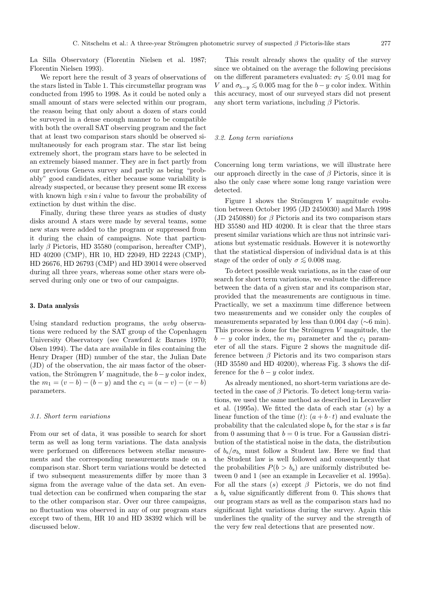La Silla Observatory (Florentin Nielsen et al. 1987; Florentin Nielsen 1993).

We report here the result of 3 years of observations of the stars listed in Table 1. This circumstellar program was conducted from 1995 to 1998. As it could be noted only a small amount of stars were selected within our program, the reason being that only about a dozen of stars could be surveyed in a dense enough manner to be compatible with both the overall SAT observing program and the fact that at least two comparison stars should be observed simultaneously for each program star. The star list being extremely short, the program stars have to be selected in an extremely biased manner. They are in fact partly from our previous Geneva survey and partly as being "probably" good candidates, either because some variability is already suspected, or because they present some IR excess with known high  $v \sin i$  value to favour the probability of extinction by dust within the disc.

Finally, during these three years as studies of dusty disks around A stars were made by several teams, some new stars were added to the program or suppressed from it during the chain of campaigns. Note that particularly  $\beta$  Pictoris, HD 35580 (comparison, hereafter CMP), HD 40200 (CMP), HR 10, HD 22049, HD 22243 (CMP), HD 26676, HD 26793 (CMP) and HD 39014 were observed during all three years, whereas some other stars were observed during only one or two of our campaigns.

## **3. Data analysis**

Using standard reduction programs, the uvby observations were reduced by the SAT group of the Copenhagen University Observatory (see Crawford & Barnes 1970; Olsen 1994). The data are available in files containing the Henry Draper (HD) number of the star, the Julian Date (JD) of the observation, the air mass factor of the observation, the Strömgren V magnitude, the  $b-y$  color index, the  $m_1 = (v - b) - (b - y)$  and the  $c_1 = (u - v) - (v - b)$ parameters.

#### 3.1. Short term variations

From our set of data, it was possible to search for short term as well as long term variations. The data analysis were performed on differences between stellar measurements and the corresponding measurements made on a comparison star. Short term variations would be detected if two subsequent measurements differ by more than 3 sigma from the average value of the data set. An eventual detection can be confirmed when comparing the star to the other comparison star. Over our three campaigns, no fluctuation was observed in any of our program stars except two of them, HR 10 and HD 38392 which will be discussed below.

This result already shows the quality of the survey since we obtained on the average the following precisions on the different parameters evaluated:  $\sigma_V \lesssim 0.01$  mag for V and  $\sigma_{b-y} \lesssim 0.005$  mag for the  $b-y$  color index. Within this accuracy, most of our surveyed stars did not present any short term variations, including  $\beta$  Pictoris.

#### 3.2. Long term variations

Concerning long term variations, we will illustrate here our approach directly in the case of  $\beta$  Pictoris, since it is also the only case where some long range variation were detected.

Figure 1 shows the Strömgren  $V$  magnitude evolution between October 1995 (JD 2450030) and March 1998 (JD 2450880) for  $\beta$  Pictoris and its two comparison stars HD 35580 and HD 40200. It is clear that the three stars present similar variations which are thus not intrinsic variations but systematic residuals. However it is noteworthy that the statistical dispersion of individual data is at this stage of the order of only  $\sigma \lesssim 0.008$  mag.

To detect possible weak variations, as in the case of our search for short term variations, we evaluate the difference between the data of a given star and its comparison star, provided that the measurements are contiguous in time. Practically, we set a maximum time difference between two measurements and we consider only the couples of measurements separated by less than 0.004 day (∼6 min). This process is done for the Strömgren  $V$  magnitude, the  $b - y$  color index, the  $m_1$  parameter and the  $c_1$  parameter of all the stars. Figure 2 shows the magnitude difference between  $\beta$  Pictoris and its two comparison stars (HD 35580 and HD 40200), whereas Fig. 3 shows the difference for the  $b - y$  color index.

As already mentioned, no short-term variations are detected in the case of  $\beta$  Pictoris. To detect long-term variations, we used the same method as described in Lecavelier et al. (1995a). We fitted the data of each star (s) by a linear function of the time  $(t)$ :  $(a + b \cdot t)$  and evaluate the probability that the calculated slope  $b_s$  for the star s is far from 0 assuming that  $b = 0$  is true. For a Gaussian distribution of the statistical noise in the data, the distribution of  $b_s/\sigma_{b_s}$  must follow a Student law. Here we find that the Student law is well followed and consequently that the probabilities  $P(b > b_s)$  are uniformly distributed between 0 and 1 (see an example in Lecavelier et al. 1995a). For all the stars (s) except  $\beta$  Pictoris, we do not find a  $b_s$  value significantly different from 0. This shows that our program stars as well as the comparison stars had no significant light variations during the survey. Again this underlines the quality of the survey and the strength of the very few real detections that are presented now.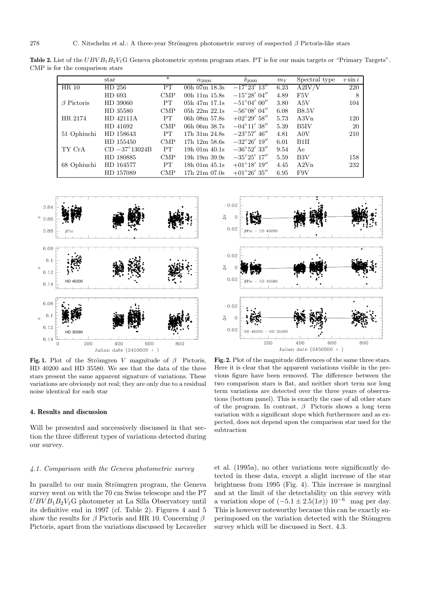**Table 2.** List of the UBV B<sub>1</sub>B<sub>2</sub>V<sub>1</sub>G Geneva photometric system program stars. PT is for our main targets or "Primary Targets". CMP is for the comparison stars

|                  | $_{\rm star}$          | $*$        | $\alpha_{2000}$        | $\delta_{2000}$       | $m_V$ | Spectral type    | $v \sin i$ |
|------------------|------------------------|------------|------------------------|-----------------------|-------|------------------|------------|
| HR 10            | HD 256                 | PT         | 00h $07m$ 18.3s        | $-17^{\circ}23'$ 13"  | 6.23  | A2IV/V           | 220        |
|                  | HD 693                 | <b>CMP</b> | 00 $h$ 11 $m$ 15.8 $s$ | $-15^{\circ}28'$ 04"  | 4.89  | F5V              | 8          |
| $\beta$ Pictoris | HD 39060               | <b>PT</b>  | $05h$ 47m $17.1s$      | $-51^{\circ}04'$ 00'' | 3.80  | A5V              | 104        |
|                  | HD 35580               | <b>CMP</b> | 05h $22m$ $22.1s$      | $-56^{\circ}08'$ 04'' | 6.08  | <b>B8.5V</b>     |            |
| HR 2174          | HD 42111A              | <b>PT</b>  | 06h 08m 57.8s          | $+02^{\circ}29'$ 58"  | 5.73  | A3V <sub>n</sub> | 120        |
|                  | HD 41692               | <b>CMP</b> | 06h 06m 38.7s          | $-04^{\circ}11'$ 38"  | 5.39  | B5IV             | 20         |
| 51 Ophiuchi      | HD 158643              | <b>PT</b>  | 17h 31m 24.8s          | $-23^{\circ}57'$ 46'' | 4.81  | A0V              | 210        |
|                  | HD 155450              | <b>CMP</b> | $17h$ $12m$ $58.6s$    | $-32^{\circ}26'$ 19'' | 6.01  | B1H              |            |
| TY CrA           | $CD -37^{\circ}13024B$ | <b>PT</b>  | $19h$ 01m $40.1s$      | $-36^{\circ}52'$ 33"  | 9.54  | Ae               |            |
|                  | HD 180885              | <b>CMP</b> | 19h $19m$ $39.9s$      | $-35^{\circ}25'$ 17'' | 5.59  | B3V              | 158        |
| 68 Ophiuchi      | HD 164577              | PT.        | $18h$ 01m $45.1s$      | $+01^{\circ}18'$ 19'' | 4.45  | A2Vn             | 232        |
|                  | HD 157089              | <b>CMP</b> | $17h$ $21m$ $07.0s$    | $+01^{\circ}26'35''$  | 6.95  | F9V              |            |



**Fig. 1.** Plot of the Strömgren V magnitude of  $\beta$  Pictoris, HD 40200 and HD 35580. We see that the data of the three stars present the same apparent signature of variations. These variations are obviously not real; they are only due to a residual noise identical for each star

#### **4. Results and discussion**

Will be presented and successively discussed in that section the three different types of variations detected during our survey.

## 4.1. Comparison with the Geneva photometric survey

In parallel to our main Strömgren program, the Geneva survey went on with the 70 cm Swiss telescope and the P7  $UBVB_1B_2V_1G$  photometer at La Silla Observatory until its definitive end in 1997 (cf. Table 2). Figures 4 and 5 show the results for  $\beta$  Pictoris and HR 10. Concerning  $\beta$ Pictoris, apart from the variations discussed by Lecavelier

Julian date  $(2450000 + )$ **Fig. 2.** Plot of the magnitude differences of the same three stars. Here it is clear that the apparent variations visible in the previous figure have been removed. The difference between the two comparison stars is flat, and neither short term nor long term variations are detected over the three years of observations (bottom panel). This is exactly the case of all other stars of the program. In contrast,  $\beta$  Pictoris shows a long term variation with a significant slope which furthermore and as expected, does not depend upon the comparison star used for the subtraction

et al. (1995a), no other variations were significantly detected in these data, except a slight increase of the star brightness from 1995 (Fig. 4). This increase is marginal and at the limit of the detectability on this survey with a variation slope of  $(-5.1 \pm 2.5(1\sigma))$  10<sup>-6</sup> mag per day. This is however noteworthy because this can be exactly superimposed on the variation detected with the Stömgren survey which will be discussed in Sect. 4.3.

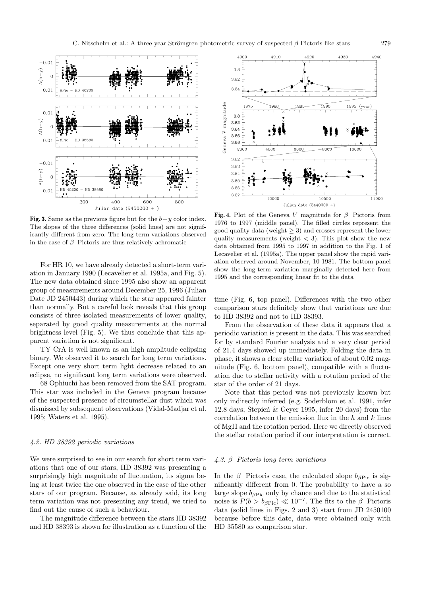

**Fig. 3.** Same as the previous figure but for the  $b-y$  color index. The slopes of the three differences (solid lines) are not significantly different from zero. The long term variations observed in the case of  $\beta$  Pictoris are thus relatively achromatic

For HR 10, we have already detected a short-term variation in January 1990 (Lecavelier et al. 1995a, and Fig. 5). The new data obtained since 1995 also show an apparent group of measurements around December 25, 1996 (Julian Date JD 2450443) during which the star appeared fainter than normally. But a careful look reveals that this group consists of three isolated measurements of lower quality, separated by good quality measurements at the normal brightness level (Fig. 5). We thus conclude that this apparent variation is not significant.

TY CrA is well known as an high amplitude eclipsing binary. We observed it to search for long term variations. Except one very short term light decrease related to an eclipse, no significant long term variations were observed.

68 Ophiuchi has been removed from the SAT program. This star was included in the Geneva program because of the suspected presence of circumstellar dust which was dismissed by subsequent observations (Vidal-Madjar et al. 1995; Waters et al. 1995).

#### 4.2. HD 38392 periodic variations

We were surprised to see in our search for short term variations that one of our stars, HD 38392 was presenting a surprisingly high magnitude of fluctuation, its sigma being at least twice the one observed in the case of the other stars of our program. Because, as already said, its long term variation was not presenting any trend, we tried to find out the cause of such a behaviour.

The magnitude difference between the stars HD 38392 and HD 38393 is shown for illustration as a function of the



**Fig. 4.** Plot of the Geneva V magnitude for  $\beta$  Pictoris from 1976 to 1997 (middle panel). The filled circles represent the good quality data (weight  $\geq$  3) and crosses represent the lower quality measurements (weight  $\langle 3 \rangle$ ). This plot show the new data obtained from 1995 to 1997 in addition to the Fig. 1 of Lecavelier et al. (1995a). The upper panel show the rapid variation observed around November, 10 1981. The bottom panel show the long-term variation marginally detected here from 1995 and the corresponding linear fit to the data

time (Fig. 6, top panel). Differences with the two other comparison stars definitely show that variations are due to HD 38392 and not to HD 38393.

From the observation of these data it appears that a periodic variation is present in the data. This was searched for by standard Fourier analysis and a very clear period of 21.4 days showed up immediately. Folding the data in phase, it shows a clear stellar variation of about 0.02 magnitude (Fig. 6, bottom panel), compatible with a fluctuation due to stellar activity with a rotation period of the star of the order of 21 days.

Note that this period was not previously known but only indirectly inferred (e.g. Soderblom et al. 1991, infer 12.8 days; Stepien<sup> $\&$ </sup> Gever 1995, infer 20 days) from the correlation between the emission flux in the  $h$  and  $k$  lines of MgII and the rotation period. Here we directly observed the stellar rotation period if our interpretation is correct.

# 4.3. β Pictoris long term variations

In the  $\beta$  Pictoris case, the calculated slope  $b_{\beta Pic}$  is significantly different from 0. The probability to have a so large slope  $b_{\beta Pic}$  only by chance and due to the statistical noise is  $P(b > b_{\beta Pic}) \ll 10^{-7}$ . The fits to the β Pictoris data (solid lines in Figs. 2 and 3) start from JD 2450100 because before this date, data were obtained only with HD 35580 as comparison star.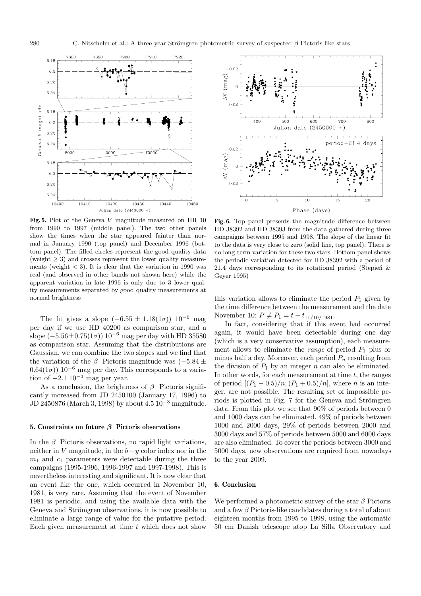

**Fig. 5.** Plot of the Geneva V magnitude measured on HR 10 from 1990 to 1997 (middle panel). The two other panels show the times when the star appeared fainter than normal in January 1990 (top panel) and December 1996 (bottom panel). The filled circles represent the good quality data (weight  $\geq$  3) and crosses represent the lower quality measurements (weight  $<$  3). It is clear that the variation in 1990 was real (and observed in other bands not shown here) while the apparent variation in late 1996 is only due to 3 lower quality measurements separated by good quality measurements at normal brightness

The fit gives a slope  $(-6.55 \pm 1.18(1\sigma))$  10<sup>-6</sup> mag per day if we use HD 40200 as comparison star, and a slope  $(-5.56 \pm 0.75(1\sigma)) 10^{-6}$  mag per day with HD 35580 as comparison star. Assuming that the distributions are Gaussian, we can combine the two slopes and we find that the variation of the β Pictoris magnitude was  $(-5.84 \pm$  $(0.64(1\sigma))$  10<sup>-6</sup> mag per day. This corresponds to a variation of  $-2.1$  10<sup>-3</sup> mag per year.

As a conclusion, the brightness of  $\beta$  Pictoris significantly increased from JD 2450100 (January 17, 1996) to JD 2450876 (March 3, 1998) by about 4.5 10−<sup>3</sup> magnitude.

#### **5. Constraints on future** *β* **Pictoris observations**

In the  $\beta$  Pictoris observations, no rapid light variations, neither in V magnitude, in the  $b-y$  color index nor in the  $m_1$  and  $c_1$  parameters were detectable during the three campaigns (1995-1996, 1996-1997 and 1997-1998). This is nevertheless interesting and significant. It is now clear that an event like the one, which occurred in November 10, 1981, is very rare. Assuming that the event of November 1981 is periodic, and using the available data with the Geneva and Strömgren observations, it is now possible to eliminate a large range of value for the putative period. Each given measurement at time  $t$  which does not show



**Fig. 6.** Top panel presents the magnitude difference between HD 38392 and HD 38393 from the data gathered during three campaigns between 1995 and 1998. The slope of the linear fit to the data is very close to zero (solid line, top panel). There is no long-term variation for these two stars. Bottom panel shows the periodic variation detected for HD 38392 with a period of 21.4 days corresponding to its rotational period (Stepien<sup> $\&$ </sup>) Geyer 1995)

this variation allows to eliminate the period  $P_1$  given by the time difference between the measurement and the date November 10:  $P \neq P_1 = t - t_{11/10/1981}$ .

In fact, considering that if this event had occurred again, it would have been detectable during one day (which is a very conservative assumption), each measurement allows to eliminate the *range* of period  $P_1$  plus or minus half a day. Moreover, each period  $P_n$  resulting from the division of  $P_1$  by an integer n can also be eliminated. In other words, for each measurement at time  $t$ , the ranges of period  $[(P_1 - 0.5)/n; (P_1 + 0.5)/n]$ , where *n* is an integer, are not possible. The resulting set of impossible periods is plotted in Fig. 7 for the Geneva and Strömgren data. From this plot we see that 90% of periods between 0 and 1000 days can be eliminated. 49% of periods between 1000 and 2000 days, 29% of periods between 2000 and 3000 days and 57% of periods between 5000 and 6000 days are also eliminated. To cover the periods between 3000 and 5000 days, new observations are required from nowadays to the year 2009.

## **6. Conclusion**

We performed a photometric survey of the star  $\beta$  Pictoris and a few  $\beta$  Pictoris-like candidates during a total of about eighteen months from 1995 to 1998, using the automatic 50 cm Danish telescope atop La Silla Observatory and